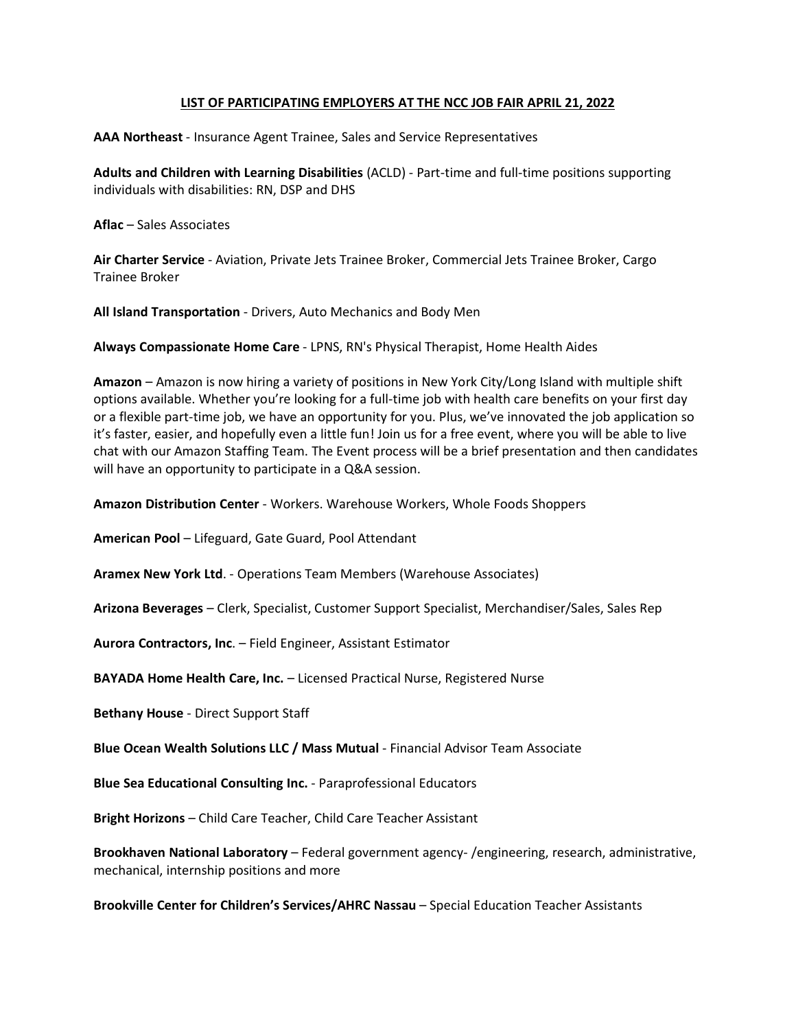### **LIST OF PARTICIPATING EMPLOYERS AT THE NCC JOB FAIR APRIL 21, 2022**

**AAA Northeast** - Insurance Agent Trainee, Sales and Service Representatives

**Adults and Children with Learning Disabilities** (ACLD) - Part-time and full-time positions supporting individuals with disabilities: RN, DSP and DHS

**Aflac** – Sales Associates

**Air Charter Service** - Aviation, Private Jets Trainee Broker, Commercial Jets Trainee Broker, Cargo Trainee Broker

**All Island Transportation** - Drivers, Auto Mechanics and Body Men

**Always Compassionate Home Care** - LPNS, RN's Physical Therapist, Home Health Aides

**Amazon** – Amazon is now hiring a variety of positions in New York City/Long Island with multiple shift options available. Whether you're looking for a full-time job with health care benefits on your first day or a flexible part-time job, we have an opportunity for you. Plus, we've innovated the job application so it's faster, easier, and hopefully even a little fun! Join us for a free event, where you will be able to live chat with our Amazon Staffing Team. The Event process will be a brief presentation and then candidates will have an opportunity to participate in a Q&A session.

**Amazon Distribution Center** - Workers. Warehouse Workers, Whole Foods Shoppers

**American Pool** – Lifeguard, Gate Guard, Pool Attendant

**Aramex New York Ltd**. - Operations Team Members (Warehouse Associates)

**Arizona Beverages** – Clerk, Specialist, Customer Support Specialist, Merchandiser/Sales, Sales Rep

**Aurora Contractors, Inc**. – Field Engineer, Assistant Estimator

**BAYADA Home Health Care, Inc.** – Licensed Practical Nurse, Registered Nurse

**Bethany House** - Direct Support Staff

**Blue Ocean Wealth Solutions LLC / Mass Mutual** - Financial Advisor Team Associate

**Blue Sea Educational Consulting Inc.** - Paraprofessional Educators

**Bright Horizons** – Child Care Teacher, Child Care Teacher Assistant

**Brookhaven National Laboratory** – Federal government agency- /engineering, research, administrative, mechanical, internship positions and more

**Brookville Center for Children's Services/AHRC Nassau** – Special Education Teacher Assistants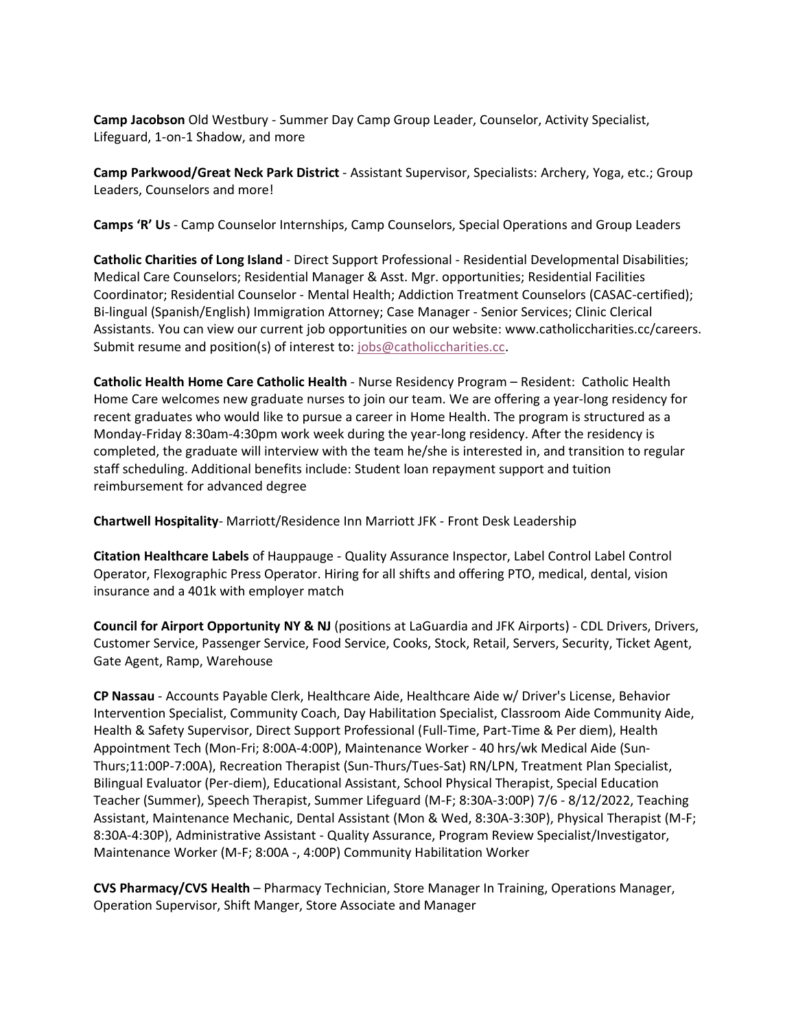**Camp Jacobson** Old Westbury - Summer Day Camp Group Leader, Counselor, Activity Specialist, Lifeguard, 1-on-1 Shadow, and more

**Camp Parkwood/Great Neck Park District** - Assistant Supervisor, Specialists: Archery, Yoga, etc.; Group Leaders, Counselors and more!

**Camps 'R' Us** - Camp Counselor Internships, Camp Counselors, Special Operations and Group Leaders

**Catholic Charities of Long Island** - Direct Support Professional - Residential Developmental Disabilities; Medical Care Counselors; Residential Manager & Asst. Mgr. opportunities; Residential Facilities Coordinator; Residential Counselor - Mental Health; Addiction Treatment Counselors (CASAC-certified); Bi-lingual (Spanish/English) Immigration Attorney; Case Manager - Senior Services; Clinic Clerical Assistants. You can view our current job opportunities on our website: www.catholiccharities.cc/careers. Submit resume and position(s) of interest to: [jobs@catholiccharities.cc.](mailto:jobs@catholiccharities.cc)

**Catholic Health Home Care Catholic Health** - Nurse Residency Program – Resident: Catholic Health Home Care welcomes new graduate nurses to join our team. We are offering a year-long residency for recent graduates who would like to pursue a career in Home Health. The program is structured as a Monday-Friday 8:30am-4:30pm work week during the year-long residency. After the residency is completed, the graduate will interview with the team he/she is interested in, and transition to regular staff scheduling. Additional benefits include: Student loan repayment support and tuition reimbursement for advanced degree

**Chartwell Hospitality**- Marriott/Residence Inn Marriott JFK - Front Desk Leadership

**Citation Healthcare Labels** of Hauppauge - Quality Assurance Inspector, Label Control Label Control Operator, Flexographic Press Operator. Hiring for all shifts and offering PTO, medical, dental, vision insurance and a 401k with employer match

**Council for Airport Opportunity NY & NJ** (positions at LaGuardia and JFK Airports) - CDL Drivers, Drivers, Customer Service, Passenger Service, Food Service, Cooks, Stock, Retail, Servers, Security, Ticket Agent, Gate Agent, Ramp, Warehouse

**CP Nassau** - Accounts Payable Clerk, Healthcare Aide, Healthcare Aide w/ Driver's License, Behavior Intervention Specialist, Community Coach, Day Habilitation Specialist, Classroom Aide Community Aide, Health & Safety Supervisor, Direct Support Professional (Full-Time, Part-Time & Per diem), Health Appointment Tech (Mon-Fri; 8:00A-4:00P), Maintenance Worker - 40 hrs/wk Medical Aide (Sun-Thurs;11:00P-7:00A), Recreation Therapist (Sun-Thurs/Tues-Sat) RN/LPN, Treatment Plan Specialist, Bilingual Evaluator (Per-diem), Educational Assistant, School Physical Therapist, Special Education Teacher (Summer), Speech Therapist, Summer Lifeguard (M-F; 8:30A-3:00P) 7/6 - 8/12/2022, Teaching Assistant, Maintenance Mechanic, Dental Assistant (Mon & Wed, 8:30A-3:30P), Physical Therapist (M-F; 8:30A-4:30P), Administrative Assistant - Quality Assurance, Program Review Specialist/Investigator, Maintenance Worker (M-F; 8:00A -, 4:00P) Community Habilitation Worker

**CVS Pharmacy/CVS Health** – Pharmacy Technician, Store Manager In Training, Operations Manager, Operation Supervisor, Shift Manger, Store Associate and Manager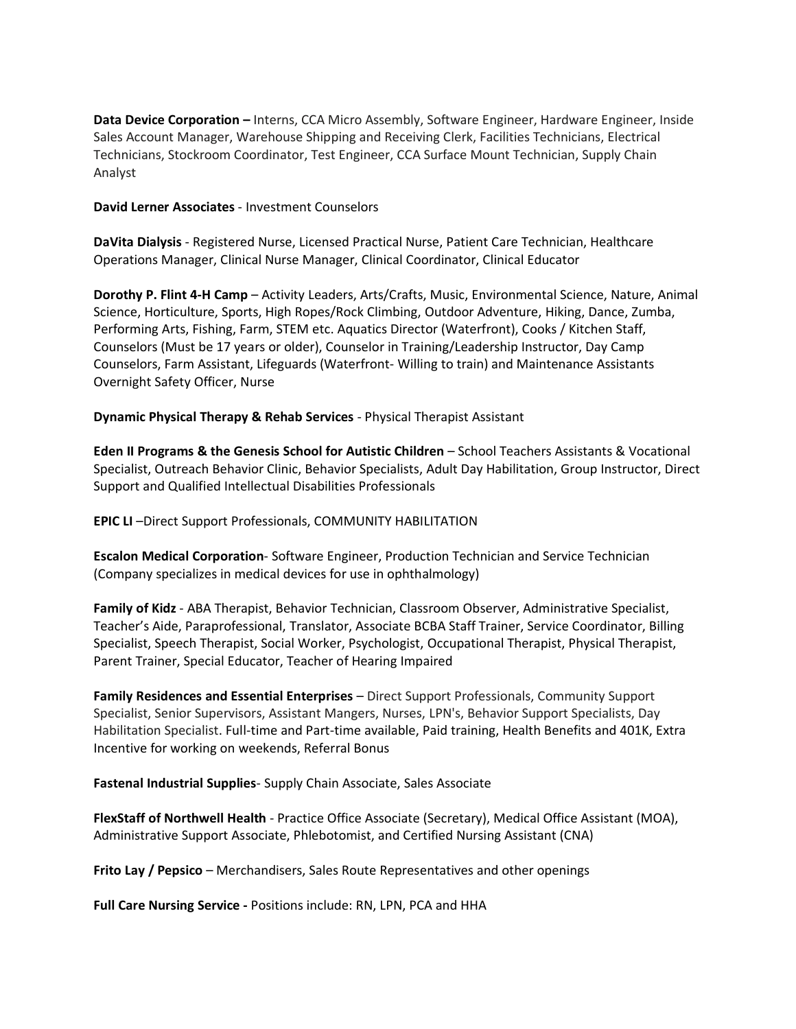**Data Device Corporation –** Interns, CCA Micro Assembly, Software Engineer, Hardware Engineer, Inside Sales Account Manager, Warehouse Shipping and Receiving Clerk, Facilities Technicians, Electrical Technicians, Stockroom Coordinator, Test Engineer, CCA Surface Mount Technician, Supply Chain Analyst

#### **David Lerner Associates** - Investment Counselors

**DaVita Dialysis** - Registered Nurse, Licensed Practical Nurse, Patient Care Technician, Healthcare Operations Manager, Clinical Nurse Manager, Clinical Coordinator, Clinical Educator

**Dorothy P. Flint 4-H Camp** – Activity Leaders, Arts/Crafts, Music, Environmental Science, Nature, Animal Science, Horticulture, Sports, High Ropes/Rock Climbing, Outdoor Adventure, Hiking, Dance, Zumba, Performing Arts, Fishing, Farm, STEM etc. Aquatics Director (Waterfront), Cooks / Kitchen Staff, Counselors (Must be 17 years or older), Counselor in Training/Leadership Instructor, Day Camp Counselors, Farm Assistant, Lifeguards (Waterfront- Willing to train) and Maintenance Assistants Overnight Safety Officer, Nurse

# **Dynamic Physical Therapy & Rehab Services** - Physical Therapist Assistant

**Eden II Programs & the Genesis School for Autistic Children** – School Teachers Assistants & Vocational Specialist, Outreach Behavior Clinic, Behavior Specialists, Adult Day Habilitation, Group Instructor, Direct Support and Qualified Intellectual Disabilities Professionals

**EPIC LI** –Direct Support Professionals, COMMUNITY HABILITATION

**Escalon Medical Corporation**- Software Engineer, Production Technician and Service Technician (Company specializes in medical devices for use in ophthalmology)

**Family of Kidz** - ABA Therapist, Behavior Technician, Classroom Observer, Administrative Specialist, Teacher's Aide, Paraprofessional, Translator, Associate BCBA Staff Trainer, Service Coordinator, Billing Specialist, Speech Therapist, Social Worker, Psychologist, Occupational Therapist, Physical Therapist, Parent Trainer, Special Educator, Teacher of Hearing Impaired

**Family Residences and Essential Enterprises** – Direct Support Professionals, Community Support Specialist, Senior Supervisors, Assistant Mangers, Nurses, LPN's, Behavior Support Specialists, Day Habilitation Specialist. Full-time and Part-time available, Paid training, Health Benefits and 401K, Extra Incentive for working on weekends, Referral Bonus

**Fastenal Industrial Supplies**- Supply Chain Associate, Sales Associate

**FlexStaff of Northwell Health** - Practice Office Associate (Secretary), Medical Office Assistant (MOA), Administrative Support Associate, Phlebotomist, and Certified Nursing Assistant (CNA)

**Frito Lay / Pepsico** – Merchandisers, Sales Route Representatives and other openings

**Full Care Nursing Service -** Positions include: RN, LPN, PCA and HHA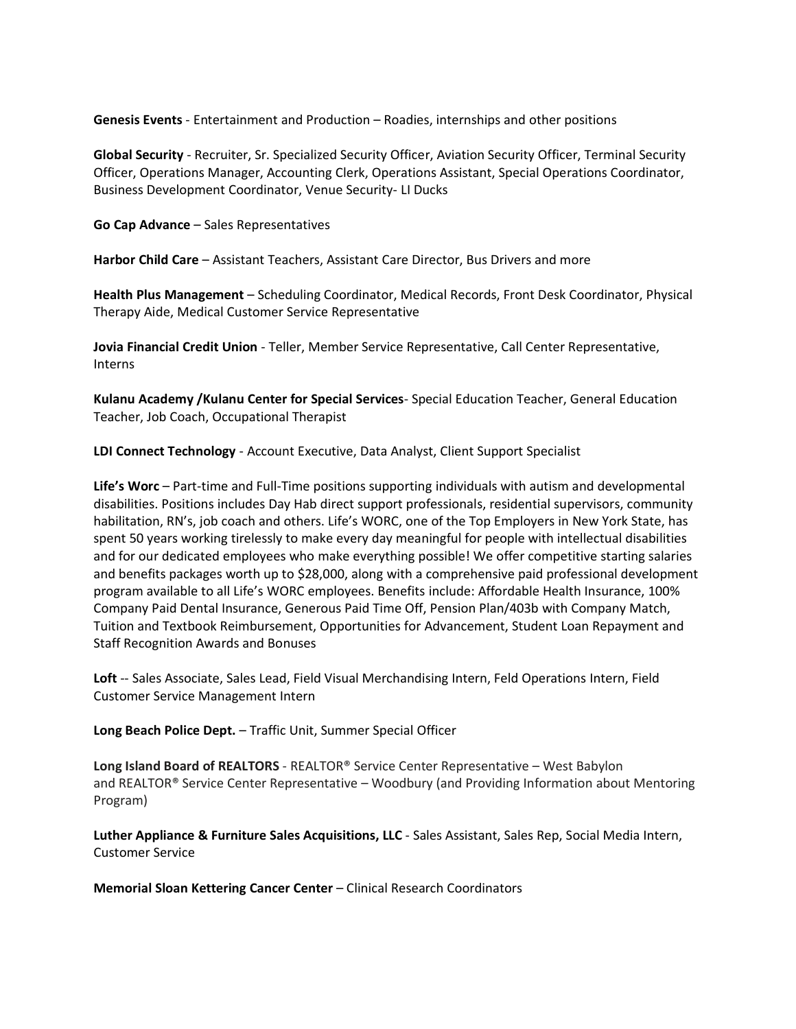**Genesis Events** - Entertainment and Production – Roadies, internships and other positions

**Global Security** - Recruiter, Sr. Specialized Security Officer, Aviation Security Officer, Terminal Security Officer, Operations Manager, Accounting Clerk, Operations Assistant, Special Operations Coordinator, Business Development Coordinator, Venue Security- LI Ducks

**Go Cap Advance** – Sales Representatives

**Harbor Child Care** – Assistant Teachers, Assistant Care Director, Bus Drivers and more

**Health Plus Management** – Scheduling Coordinator, Medical Records, Front Desk Coordinator, Physical Therapy Aide, Medical Customer Service Representative

**Jovia Financial Credit Union** - Teller, Member Service Representative, Call Center Representative, Interns

**Kulanu Academy /Kulanu Center for Special Services**- Special Education Teacher, General Education Teacher, Job Coach, Occupational Therapist

**LDI Connect Technology** - Account Executive, Data Analyst, Client Support Specialist

**Life's Worc** – Part-time and Full-Time positions supporting individuals with autism and developmental disabilities. Positions includes Day Hab direct support professionals, residential supervisors, community habilitation, RN's, job coach and others. Life's WORC, one of the Top Employers in New York State, has spent 50 years working tirelessly to make every day meaningful for people with intellectual disabilities and for our dedicated employees who make everything possible! We offer competitive starting salaries and benefits packages worth up to \$28,000, along with a comprehensive paid professional development program available to all Life's WORC employees. Benefits include: Affordable Health Insurance, 100% Company Paid Dental Insurance, Generous Paid Time Off, Pension Plan/403b with Company Match, Tuition and Textbook Reimbursement, Opportunities for Advancement, Student Loan Repayment and Staff Recognition Awards and Bonuses

**Loft** -- Sales Associate, Sales Lead, Field Visual Merchandising Intern, Feld Operations Intern, Field Customer Service Management Intern

**Long Beach Police Dept.** – Traffic Unit, Summer Special Officer

**Long Island Board of REALTORS** - REALTOR® Service Center Representative – West Babylon and REALTOR® Service Center Representative – Woodbury (and Providing Information about Mentoring Program)

**Luther Appliance & Furniture Sales Acquisitions, LLC** - Sales Assistant, Sales Rep, Social Media Intern, Customer Service

**Memorial Sloan Kettering Cancer Center** – Clinical Research Coordinators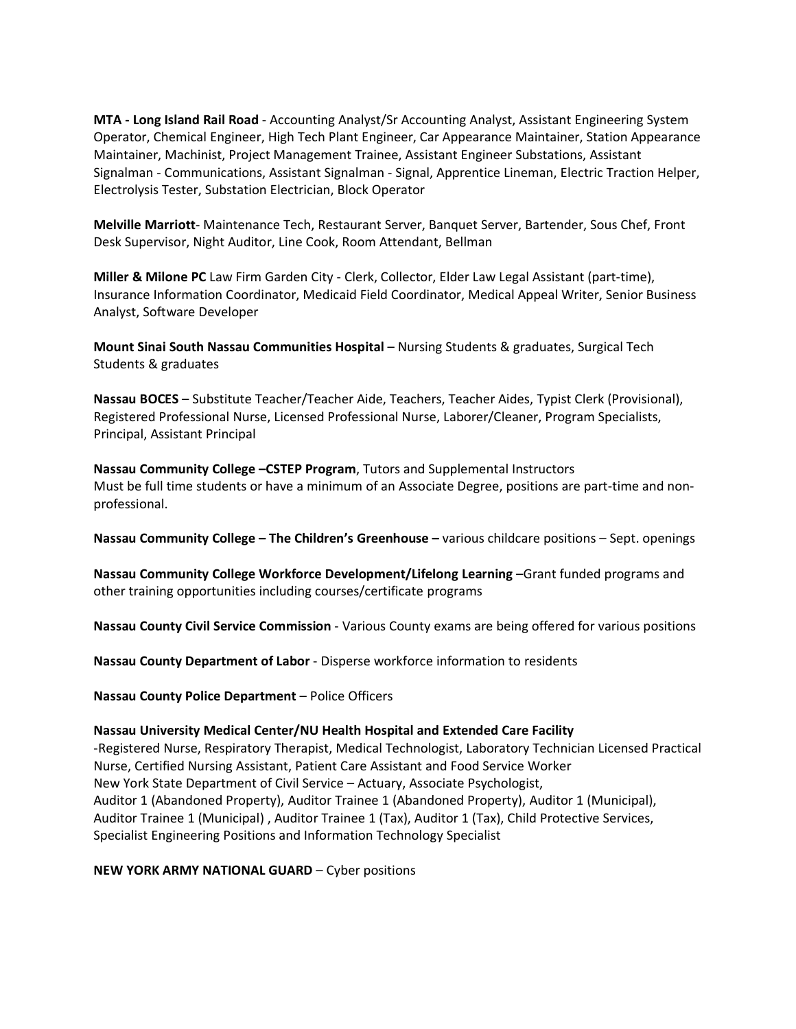**MTA - Long Island Rail Road** - Accounting Analyst/Sr Accounting Analyst, Assistant Engineering System Operator, Chemical Engineer, High Tech Plant Engineer, Car Appearance Maintainer, Station Appearance Maintainer, Machinist, Project Management Trainee, Assistant Engineer Substations, Assistant Signalman - Communications, Assistant Signalman - Signal, Apprentice Lineman, Electric Traction Helper, Electrolysis Tester, Substation Electrician, Block Operator

**Melville Marriott**- Maintenance Tech, Restaurant Server, Banquet Server, Bartender, Sous Chef, Front Desk Supervisor, Night Auditor, Line Cook, Room Attendant, Bellman

**Miller & Milone PC** Law Firm Garden City - Clerk, Collector, Elder Law Legal Assistant (part-time), Insurance Information Coordinator, Medicaid Field Coordinator, Medical Appeal Writer, Senior Business Analyst, Software Developer

**Mount Sinai South Nassau Communities Hospital** – Nursing Students & graduates, Surgical Tech Students & graduates

**Nassau BOCES** – Substitute Teacher/Teacher Aide, Teachers, Teacher Aides, Typist Clerk (Provisional), Registered Professional Nurse, Licensed Professional Nurse, Laborer/Cleaner, Program Specialists, Principal, Assistant Principal

**Nassau Community College –CSTEP Program**, Tutors and Supplemental Instructors Must be full time students or have a minimum of an Associate Degree, positions are part-time and nonprofessional.

**Nassau Community College – The Children's Greenhouse –** various childcare positions – Sept. openings

**Nassau Community College Workforce Development/Lifelong Learning** –Grant funded programs and other training opportunities including courses/certificate programs

**Nassau County Civil Service Commission** - Various County exams are being offered for various positions

**Nassau County Department of Labor** - Disperse workforce information to residents

**Nassau County Police Department** – Police Officers

#### **Nassau University Medical Center/NU Health Hospital and Extended Care Facility**

-Registered Nurse, Respiratory Therapist, Medical Technologist, Laboratory Technician Licensed Practical Nurse, Certified Nursing Assistant, Patient Care Assistant and Food Service Worker New York State Department of Civil Service – Actuary, Associate Psychologist, Auditor 1 (Abandoned Property), Auditor Trainee 1 (Abandoned Property), Auditor 1 (Municipal), Auditor Trainee 1 (Municipal) , Auditor Trainee 1 (Tax), Auditor 1 (Tax), Child Protective Services, Specialist Engineering Positions and Information Technology Specialist

**NEW YORK ARMY NATIONAL GUARD** – Cyber positions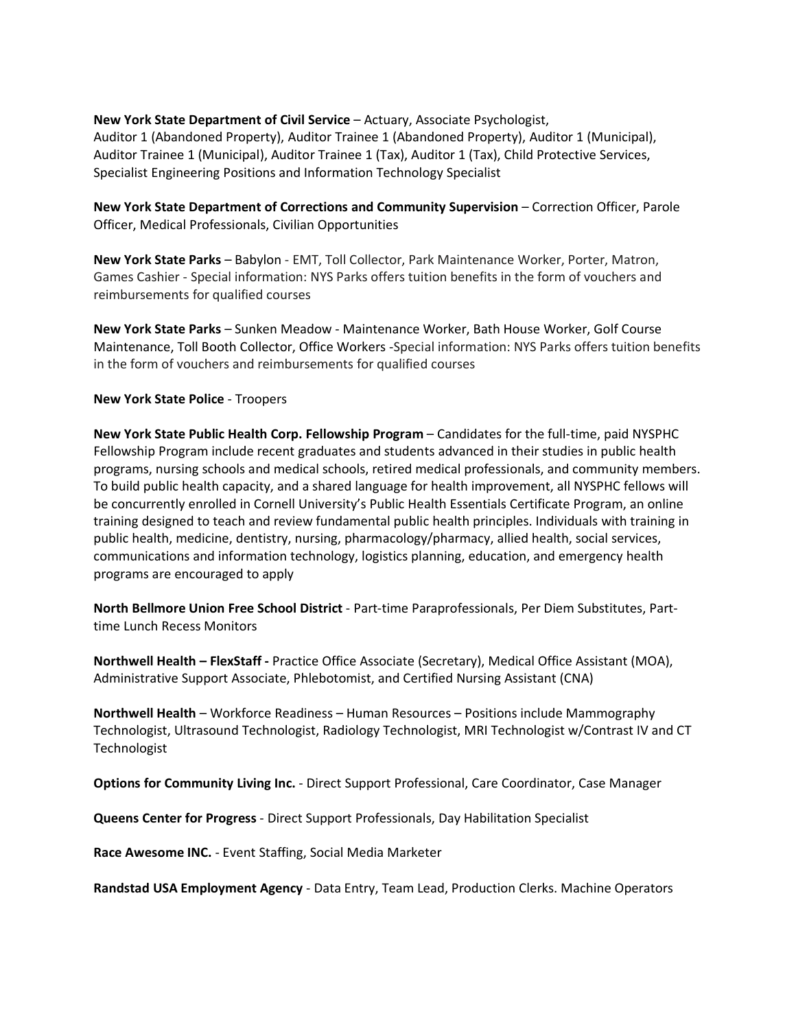**New York State Department of Civil Service** – Actuary, Associate Psychologist, Auditor 1 (Abandoned Property), Auditor Trainee 1 (Abandoned Property), Auditor 1 (Municipal), Auditor Trainee 1 (Municipal), Auditor Trainee 1 (Tax), Auditor 1 (Tax), Child Protective Services, Specialist Engineering Positions and Information Technology Specialist

**New York State Department of Corrections and Community Supervision** – Correction Officer, Parole Officer, Medical Professionals, Civilian Opportunities

**New York State Parks** – Babylon - EMT, Toll Collector, Park Maintenance Worker, Porter, Matron, Games Cashier - Special information: NYS Parks offers tuition benefits in the form of vouchers and reimbursements for qualified courses

**New York State Parks** – Sunken Meadow - Maintenance Worker, Bath House Worker, Golf Course Maintenance, Toll Booth Collector, Office Workers -Special information: NYS Parks offers tuition benefits in the form of vouchers and reimbursements for qualified courses

# **New York State Police** - Troopers

**New York State Public Health Corp. Fellowship Program** – Candidates for the full-time, paid NYSPHC Fellowship Program include recent graduates and students advanced in their studies in public health programs, nursing schools and medical schools, retired medical professionals, and community members. To build public health capacity, and a shared language for health improvement, all NYSPHC fellows will be concurrently enrolled in Cornell University's Public Health Essentials Certificate Program, an online training designed to teach and review fundamental public health principles. Individuals with training in public health, medicine, dentistry, nursing, pharmacology/pharmacy, allied health, social services, communications and information technology, logistics planning, education, and emergency health programs are encouraged to apply

**North Bellmore Union Free School District** - Part-time Paraprofessionals, Per Diem Substitutes, Parttime Lunch Recess Monitors

**Northwell Health – FlexStaff -** Practice Office Associate (Secretary), Medical Office Assistant (MOA), Administrative Support Associate, Phlebotomist, and Certified Nursing Assistant (CNA)

**Northwell Health** – Workforce Readiness – Human Resources – Positions include Mammography Technologist, Ultrasound Technologist, Radiology Technologist, MRI Technologist w/Contrast IV and CT Technologist

**Options for Community Living Inc.** - Direct Support Professional, Care Coordinator, Case Manager

**Queens Center for Progress** - Direct Support Professionals, Day Habilitation Specialist

**Race Awesome INC.** - Event Staffing, Social Media Marketer

**Randstad USA Employment Agency** - Data Entry, Team Lead, Production Clerks. Machine Operators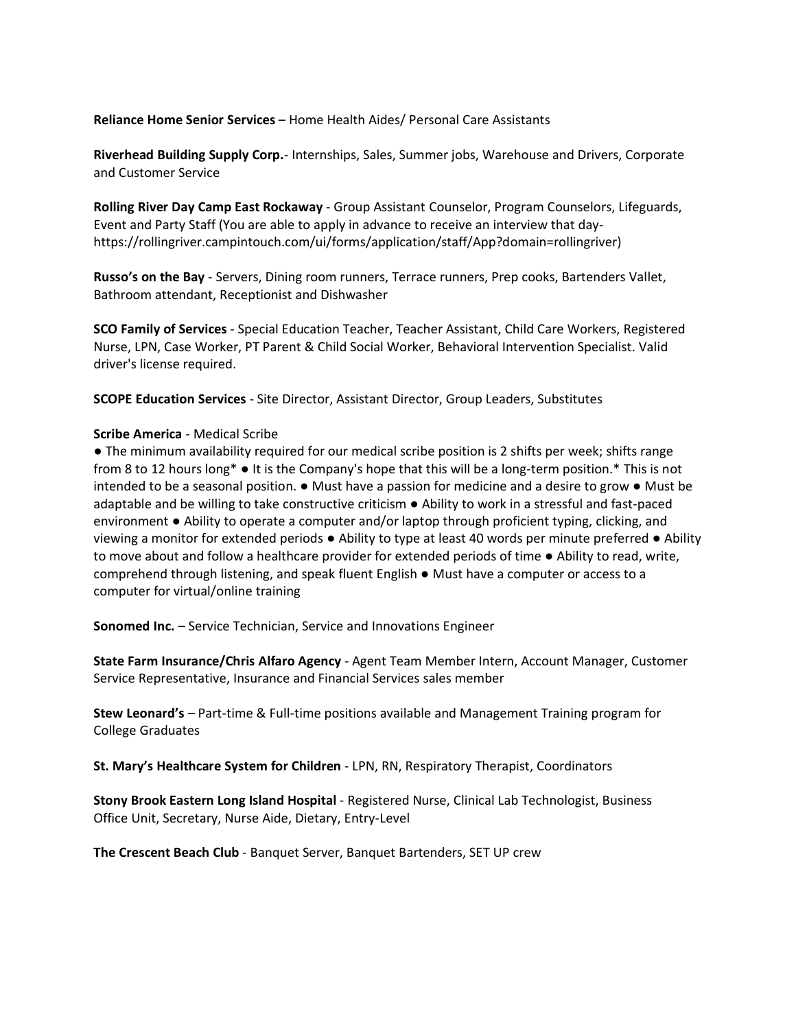**Reliance Home Senior Services** – Home Health Aides/ Personal Care Assistants

**Riverhead Building Supply Corp.**- Internships, Sales, Summer jobs, Warehouse and Drivers, Corporate and Customer Service

**Rolling River Day Camp East Rockaway** - Group Assistant Counselor, Program Counselors, Lifeguards, Event and Party Staff (You are able to apply in advance to receive an interview that dayhttps://rollingriver.campintouch.com/ui/forms/application/staff/App?domain=rollingriver)

**Russo's on the Bay** - Servers, Dining room runners, Terrace runners, Prep cooks, Bartenders Vallet, Bathroom attendant, Receptionist and Dishwasher

**SCO Family of Services** - Special Education Teacher, Teacher Assistant, Child Care Workers, Registered Nurse, LPN, Case Worker, PT Parent & Child Social Worker, Behavioral Intervention Specialist. Valid driver's license required.

**SCOPE Education Services** - Site Director, Assistant Director, Group Leaders, Substitutes

### **Scribe America** - Medical Scribe

● The minimum availability required for our medical scribe position is 2 shifts per week; shifts range from 8 to 12 hours long\* ● It is the Company's hope that this will be a long-term position.\* This is not intended to be a seasonal position. ● Must have a passion for medicine and a desire to grow ● Must be adaptable and be willing to take constructive criticism ● Ability to work in a stressful and fast-paced environment ● Ability to operate a computer and/or laptop through proficient typing, clicking, and viewing a monitor for extended periods ● Ability to type at least 40 words per minute preferred ● Ability to move about and follow a healthcare provider for extended periods of time ● Ability to read, write, comprehend through listening, and speak fluent English ● Must have a computer or access to a computer for virtual/online training

**Sonomed Inc.** – Service Technician, Service and Innovations Engineer

**State Farm Insurance/Chris Alfaro Agency** - Agent Team Member Intern, Account Manager, Customer Service Representative, Insurance and Financial Services sales member

**Stew Leonard's** – Part-time & Full-time positions available and Management Training program for College Graduates

**St. Mary's Healthcare System for Children** - LPN, RN, Respiratory Therapist, Coordinators

**Stony Brook Eastern Long Island Hospital** - Registered Nurse, Clinical Lab Technologist, Business Office Unit, Secretary, Nurse Aide, Dietary, Entry-Level

**The Crescent Beach Club** - Banquet Server, Banquet Bartenders, SET UP crew